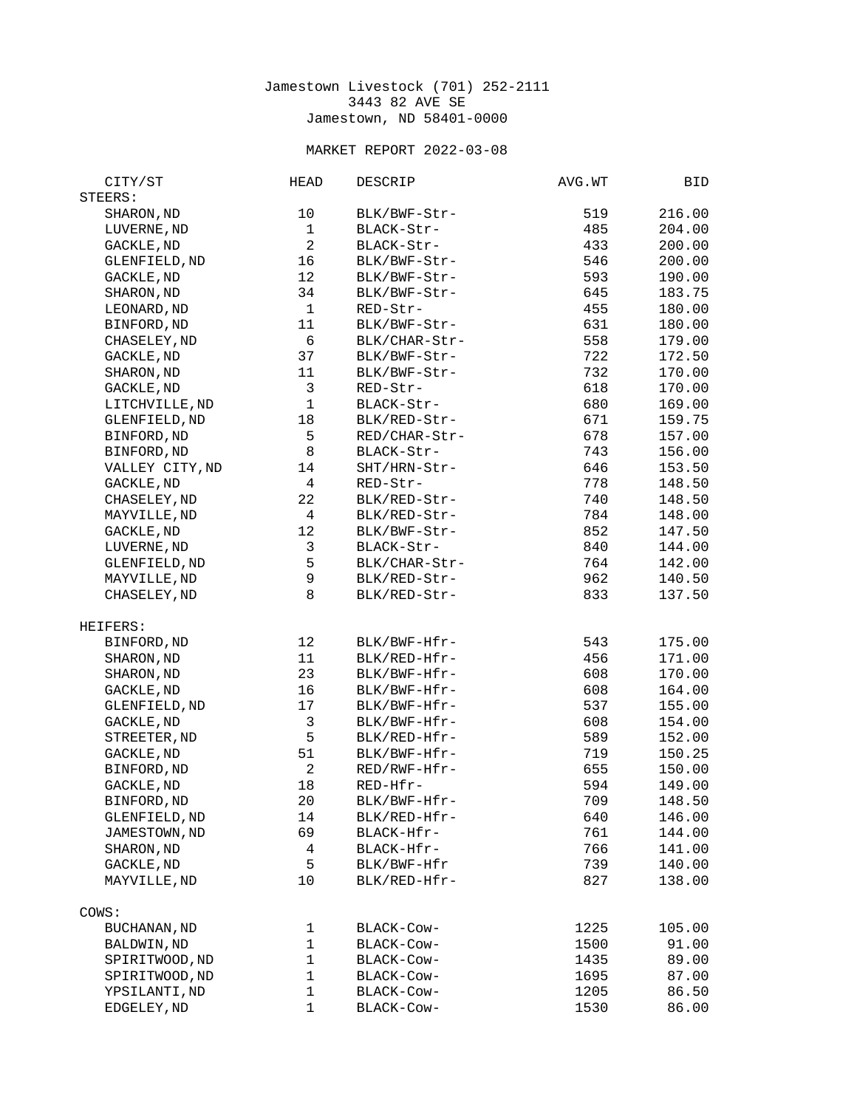## Jamestown Livestock (701) 252-2111 3443 82 AVE SE Jamestown, ND 58401-0000

## MARKET REPORT 2022-03-08

| CITY/ST             | <b>HEAD</b>      | DESCRIP       | AVG.WT | BID    |
|---------------------|------------------|---------------|--------|--------|
| STEERS:             |                  |               |        |        |
| SHARON, ND          | 10               | BLK/BWF-Str-  | 519    | 216.00 |
| LUVERNE, ND         | $\mathbf{1}$     | BLACK-Str-    | 485    | 204.00 |
| GACKLE, ND          | $\overline{c}$   | BLACK-Str-    | 433    | 200.00 |
| GLENFIELD, ND       | 16               | BLK/BWF-Str-  | 546    | 200.00 |
| GACKLE, ND          | 12               | BLK/BWF-Str-  | 593    | 190.00 |
| SHARON, ND          | 34               | BLK/BWF-Str-  | 645    | 183.75 |
| LEONARD, ND         | $\mathbf{1}$     | RED-Str-      | 455    | 180.00 |
| BINFORD, ND         | 11               | BLK/BWF-Str-  | 631    | 180.00 |
| CHASELEY, ND        | 6                | BLK/CHAR-Str- | 558    | 179.00 |
| GACKLE, ND          | 37               | BLK/BWF-Str-  | 722    | 172.50 |
| SHARON, ND          | 11               | BLK/BWF-Str-  | 732    | 170.00 |
| GACKLE, ND          | 3                | RED-Str-      | 618    | 170.00 |
| LITCHVILLE, ND      | $\mathbf{1}$     | BLACK-Str-    | 680    | 169.00 |
| GLENFIELD, ND       | 18               | BLK/RED-Str-  | 671    | 159.75 |
| BINFORD, ND         | 5                | RED/CHAR-Str- | 678    | 157.00 |
| BINFORD, ND         | 8                | BLACK-Str-    | 743    | 156.00 |
| VALLEY CITY, ND     | 14               | SHT/HRN-Str-  | 646    | 153.50 |
| GACKLE, ND          | $\overline{4}$   | RED-Str-      | 778    | 148.50 |
| CHASELEY, ND        | 22               | BLK/RED-Str-  | 740    | 148.50 |
| MAYVILLE, ND        | $\overline{4}$   | BLK/RED-Str-  | 784    | 148.00 |
|                     | 12               |               |        |        |
| GACKLE, ND          |                  | BLK/BWF-Str-  | 852    | 147.50 |
| LUVERNE, ND         | 3                | BLACK-Str-    | 840    | 144.00 |
| GLENFIELD, ND       | 5                | BLK/CHAR-Str- | 764    | 142.00 |
| MAYVILLE, ND        | $\boldsymbol{9}$ | BLK/RED-Str-  | 962    | 140.50 |
| CHASELEY, ND        | 8                | BLK/RED-Str-  | 833    | 137.50 |
| HEIFERS:            |                  |               |        |        |
| BINFORD, ND         | 12               | BLK/BWF-Hfr-  | 543    | 175.00 |
| SHARON, ND          | 11               | BLK/RED-Hfr-  | 456    | 171.00 |
| SHARON, ND          | 23               | BLK/BWF-Hfr-  | 608    | 170.00 |
| GACKLE, ND          | 16               | BLK/BWF-Hfr-  | 608    | 164.00 |
| GLENFIELD, ND       | 17               | BLK/BWF-Hfr-  | 537    | 155.00 |
| GACKLE, ND          | 3                | BLK/BWF-Hfr-  | 608    | 154.00 |
| STREETER, ND        | 5                | BLK/RED-Hfr-  | 589    | 152.00 |
| GACKLE, ND          | 51               | BLK/BWF-Hfr-  | 719    | 150.25 |
| BINFORD, ND         | $\overline{2}$   | RED/RWF-Hfr-  | 655    | 150.00 |
| GACKLE, ND          | 18               | RED-Hfr-      | 594    | 149.00 |
| BINFORD, ND         | 20               | BLK/BWF-Hfr-  | 709    | 148.50 |
| GLENFIELD, ND       |                  | BLK/RED-Hfr-  | 640    | 146.00 |
|                     | 14               |               |        |        |
| JAMESTOWN, ND       | 69               | BLACK-Hfr-    | 761    | 144.00 |
| SHARON, ND          | 4                | BLACK-Hfr-    | 766    | 141.00 |
| GACKLE, ND          | 5                | BLK/BWF-Hfr   | 739    | 140.00 |
| MAYVILLE, ND        | 10               | BLK/RED-Hfr-  | 827    | 138.00 |
| COWS:               |                  |               |        |        |
| <b>BUCHANAN, ND</b> | $\mathbf{1}$     | BLACK-Cow-    | 1225   | 105.00 |
| BALDWIN, ND         | $\mathbf{1}$     | BLACK-Cow-    | 1500   | 91.00  |
| SPIRITWOOD, ND      | 1                | BLACK-Cow-    | 1435   | 89.00  |
| SPIRITWOOD, ND      | 1                | BLACK-Cow-    | 1695   | 87.00  |
| YPSILANTI, ND       | 1                | BLACK-Cow-    | 1205   | 86.50  |
| EDGELEY, ND         | $\mathbf{1}$     | BLACK-Cow-    | 1530   | 86.00  |